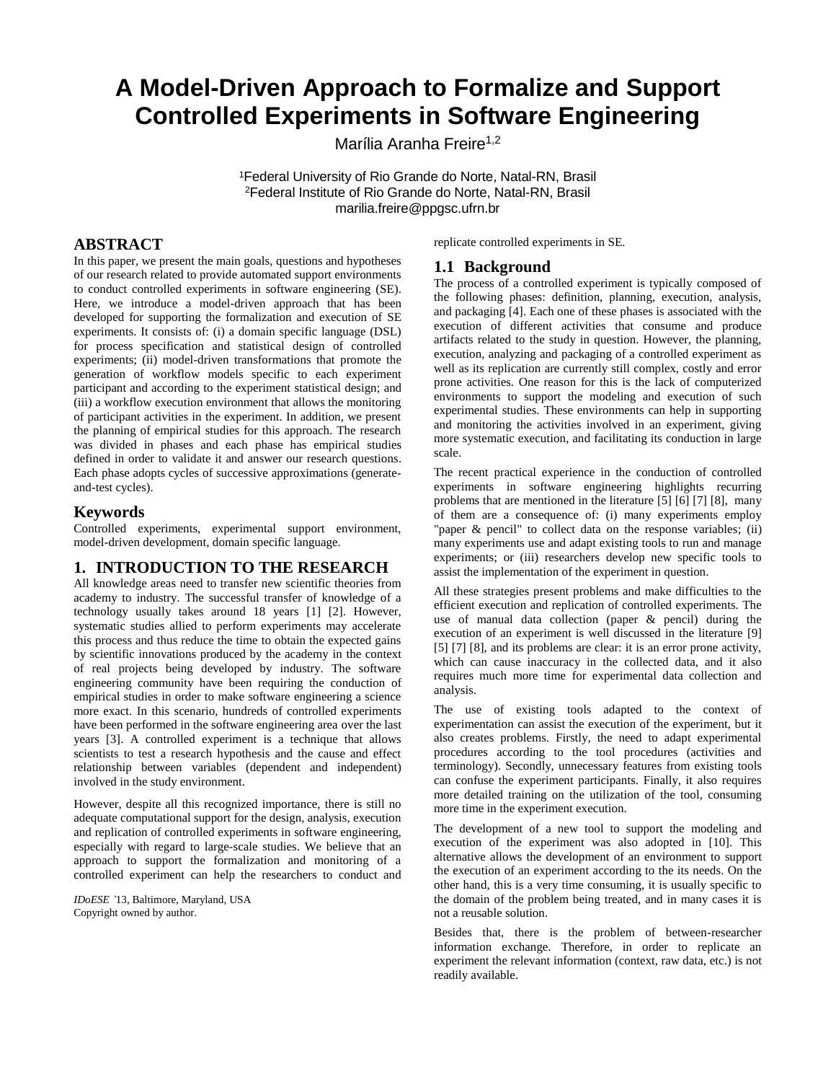# **A Model-Driven Approach to Formalize and Support Controlled Experiments in Software Engineering**

Marília Aranha Freire<sup>1,2</sup>

<sup>1</sup>Federal University of Rio Grande do Norte, Natal-RN, Brasil <sup>2</sup>Federal Institute of Rio Grande do Norte, Natal-RN, Brasil marilia.freire@ppgsc.ufrn.br

# **ABSTRACT**

In this paper, we present the main goals, questions and hypotheses of our research related to provide automated support environments to conduct controlled experiments in software engineering (SE). Here, we introduce a model-driven approach that has been developed for supporting the formalization and execution of SE experiments. It consists of: (i) a domain specific language (DSL) for process specification and statistical design of controlled experiments; (ii) model-driven transformations that promote the generation of workflow models specific to each experiment participant and according to the experiment statistical design; and (iii) a workflow execution environment that allows the monitoring of participant activities in the experiment. In addition, we present the planning of empirical studies for this approach. The research was divided in phases and each phase has empirical studies defined in order to validate it and answer our research questions. Each phase adopts cycles of successive approximations (generateand-test cycles).

## **Keywords**

Controlled experiments, experimental support environment, model-driven development, domain specific language.

## **1. INTRODUCTION TO THE RESEARCH**

All knowledge areas need to transfer new scientific theories from academy to industry. The successful transfer of knowledge of a technology usually takes around 18 years [1] [2]. However, systematic studies allied to perform experiments may accelerate this process and thus reduce the time to obtain the expected gains by scientific innovations produced by the academy in the context of real projects being developed by industry. The software engineering community have been requiring the conduction of empirical studies in order to make software engineering a science more exact. In this scenario, hundreds of controlled experiments have been performed in the software engineering area over the last years [3]. A controlled experiment is a technique that allows scientists to test a research hypothesis and the cause and effect relationship between variables (dependent and independent) involved in the study environment.

However, despite all this recognized importance, there is still no adequate computational support for the design, analysis, execution and replication of controlled experiments in software engineering, especially with regard to large-scale studies. We believe that an approach to support the formalization and monitoring of a controlled experiment can help the researchers to conduct and

*IDoESE '*13, Baltimore, Maryland, USA Copyright owned by author.

replicate controlled experiments in SE.

#### **1.1 Background**

The process of a controlled experiment is typically composed of the following phases: definition, planning, execution, analysis, and packaging [4]. Each one of these phases is associated with the execution of different activities that consume and produce artifacts related to the study in question. However, the planning, execution, analyzing and packaging of a controlled experiment as well as its replication are currently still complex, costly and error prone activities. One reason for this is the lack of computerized environments to support the modeling and execution of such experimental studies. These environments can help in supporting and monitoring the activities involved in an experiment, giving more systematic execution, and facilitating its conduction in large scale.

The recent practical experience in the conduction of controlled experiments in software engineering highlights recurring problems that are mentioned in the literature [5] [6] [7] [8], many of them are a consequence of: (i) many experiments employ "paper & pencil" to collect data on the response variables; (ii) many experiments use and adapt existing tools to run and manage experiments; or (iii) researchers develop new specific tools to assist the implementation of the experiment in question.

All these strategies present problems and make difficulties to the efficient execution and replication of controlled experiments. The use of manual data collection (paper & pencil) during the execution of an experiment is well discussed in the literature [9] [5] [7] [8], and its problems are clear: it is an error prone activity, which can cause inaccuracy in the collected data, and it also requires much more time for experimental data collection and analysis.

The use of existing tools adapted to the context of experimentation can assist the execution of the experiment, but it also creates problems. Firstly, the need to adapt experimental procedures according to the tool procedures (activities and terminology). Secondly, unnecessary features from existing tools can confuse the experiment participants. Finally, it also requires more detailed training on the utilization of the tool, consuming more time in the experiment execution.

The development of a new tool to support the modeling and execution of the experiment was also adopted in [10]. This alternative allows the development of an environment to support the execution of an experiment according to the its needs. On the other hand, this is a very time consuming, it is usually specific to the domain of the problem being treated, and in many cases it is not a reusable solution.

Besides that, there is the problem of between-researcher information exchange. Therefore, in order to replicate an experiment the relevant information (context, raw data, etc.) is not readily available.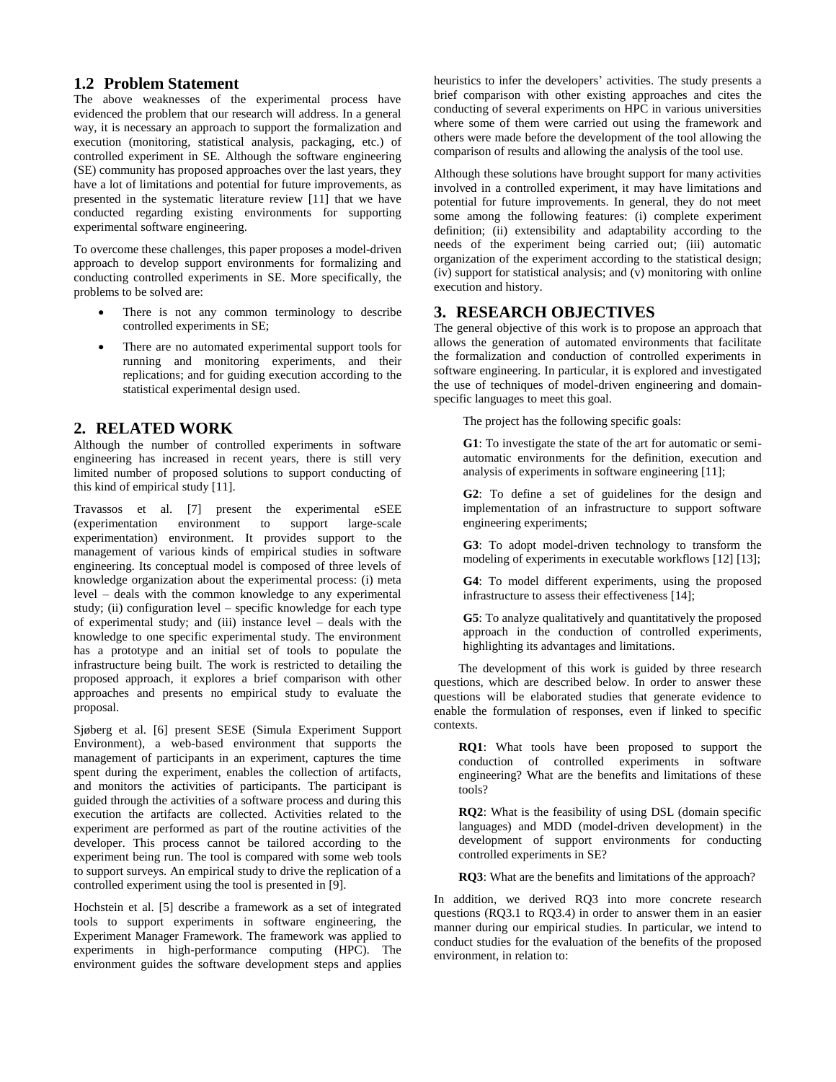## **1.2 Problem Statement**

The above weaknesses of the experimental process have evidenced the problem that our research will address. In a general way, it is necessary an approach to support the formalization and execution (monitoring, statistical analysis, packaging, etc.) of controlled experiment in SE. Although the software engineering (SE) community has proposed approaches over the last years, they have a lot of limitations and potential for future improvements, as presented in the systematic literature review [11] that we have conducted regarding existing environments for supporting experimental software engineering.

To overcome these challenges, this paper proposes a model-driven approach to develop support environments for formalizing and conducting controlled experiments in SE. More specifically, the problems to be solved are:

- There is not any common terminology to describe controlled experiments in SE;
- There are no automated experimental support tools for running and monitoring experiments, and their replications; and for guiding execution according to the statistical experimental design used.

# **2. RELATED WORK**

Although the number of controlled experiments in software engineering has increased in recent years, there is still very limited number of proposed solutions to support conducting of this kind of empirical study [11].

Travassos et al. [7] present the experimental eSEE (experimentation environment to support large-scale experimentation) environment. It provides support to the management of various kinds of empirical studies in software engineering. Its conceptual model is composed of three levels of knowledge organization about the experimental process: (i) meta level – deals with the common knowledge to any experimental study; (ii) configuration level – specific knowledge for each type of experimental study; and (iii) instance level – deals with the knowledge to one specific experimental study. The environment has a prototype and an initial set of tools to populate the infrastructure being built. The work is restricted to detailing the proposed approach, it explores a brief comparison with other approaches and presents no empirical study to evaluate the proposal.

Sjøberg et al. [6] present SESE (Simula Experiment Support Environment), a web-based environment that supports the management of participants in an experiment, captures the time spent during the experiment, enables the collection of artifacts, and monitors the activities of participants. The participant is guided through the activities of a software process and during this execution the artifacts are collected. Activities related to the experiment are performed as part of the routine activities of the developer. This process cannot be tailored according to the experiment being run. The tool is compared with some web tools to support surveys. An empirical study to drive the replication of a controlled experiment using the tool is presented in [9].

Hochstein et al. [5] describe a framework as a set of integrated tools to support experiments in software engineering, the Experiment Manager Framework. The framework was applied to experiments in high-performance computing (HPC). The environment guides the software development steps and applies heuristics to infer the developers' activities. The study presents a brief comparison with other existing approaches and cites the conducting of several experiments on HPC in various universities where some of them were carried out using the framework and others were made before the development of the tool allowing the comparison of results and allowing the analysis of the tool use.

Although these solutions have brought support for many activities involved in a controlled experiment, it may have limitations and potential for future improvements. In general, they do not meet some among the following features: (i) complete experiment definition; (ii) extensibility and adaptability according to the needs of the experiment being carried out; (iii) automatic organization of the experiment according to the statistical design; (iv) support for statistical analysis; and (v) monitoring with online execution and history.

# **3. RESEARCH OBJECTIVES**

The general objective of this work is to propose an approach that allows the generation of automated environments that facilitate the formalization and conduction of controlled experiments in software engineering. In particular, it is explored and investigated the use of techniques of model-driven engineering and domainspecific languages to meet this goal.

The project has the following specific goals:

**G1**: To investigate the state of the art for automatic or semiautomatic environments for the definition, execution and analysis of experiments in software engineering [11];

**G2**: To define a set of guidelines for the design and implementation of an infrastructure to support software engineering experiments;

**G3**: To adopt model-driven technology to transform the modeling of experiments in executable workflows [12] [13];

**G4**: To model different experiments, using the proposed infrastructure to assess their effectiveness [14];

**G5**: To analyze qualitatively and quantitatively the proposed approach in the conduction of controlled experiments, highlighting its advantages and limitations.

The development of this work is guided by three research questions, which are described below. In order to answer these questions will be elaborated studies that generate evidence to enable the formulation of responses, even if linked to specific contexts.

**RQ1**: What tools have been proposed to support the conduction of controlled experiments in software engineering? What are the benefits and limitations of these tools?

**RQ2**: What is the feasibility of using DSL (domain specific languages) and MDD (model-driven development) in the development of support environments for conducting controlled experiments in SE?

**RQ3**: What are the benefits and limitations of the approach?

In addition, we derived RQ3 into more concrete research questions (RQ3.1 to RQ3.4) in order to answer them in an easier manner during our empirical studies. In particular, we intend to conduct studies for the evaluation of the benefits of the proposed environment, in relation to: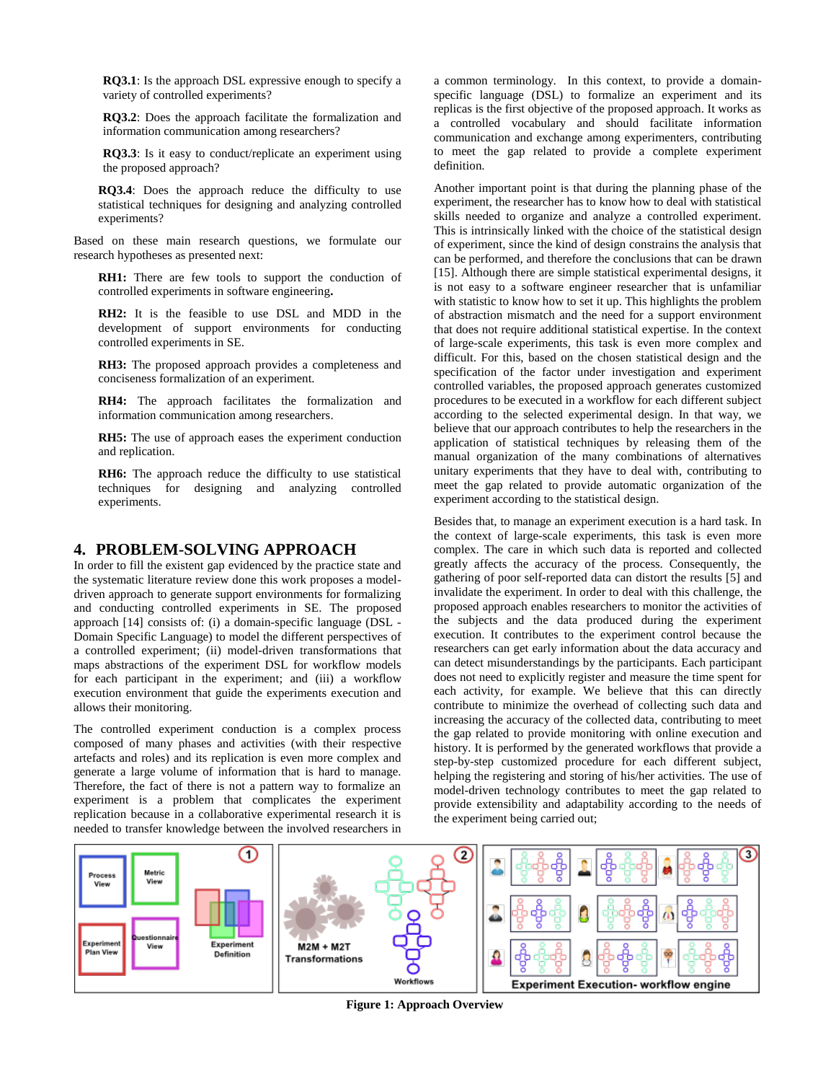**RQ3.1**: Is the approach DSL expressive enough to specify a variety of controlled experiments?

**RQ3.2**: Does the approach facilitate the formalization and information communication among researchers?

**RQ3.3**: Is it easy to conduct/replicate an experiment using the proposed approach?

**RQ3.4**: Does the approach reduce the difficulty to use statistical techniques for designing and analyzing controlled experiments?

Based on these main research questions, we formulate our research hypotheses as presented next:

**RH1:** There are few tools to support the conduction of controlled experiments in software engineering**.**

**RH2:** It is the feasible to use DSL and MDD in the development of support environments for conducting controlled experiments in SE.

**RH3:** The proposed approach provides a completeness and conciseness formalization of an experiment.

**RH4:** The approach facilitates the formalization and information communication among researchers.

**RH5:** The use of approach eases the experiment conduction and replication.

**RH6:** The approach reduce the difficulty to use statistical techniques for designing and analyzing controlled experiments.

## **4. PROBLEM-SOLVING APPROACH**

In order to fill the existent gap evidenced by the practice state and the systematic literature review done this work proposes a modeldriven approach to generate support environments for formalizing and conducting controlled experiments in SE. The proposed approach [14] consists of: (i) a domain-specific language (DSL - Domain Specific Language) to model the different perspectives of a controlled experiment; (ii) model-driven transformations that maps abstractions of the experiment DSL for workflow models for each participant in the experiment; and (iii) a workflow execution environment that guide the experiments execution and allows their monitoring.

The controlled experiment conduction is a complex process composed of many phases and activities (with their respective artefacts and roles) and its replication is even more complex and generate a large volume of information that is hard to manage. Therefore, the fact of there is not a pattern way to formalize an experiment is a problem that complicates the experiment replication because in a collaborative experimental research it is needed to transfer knowledge between the involved researchers in

a common terminology. In this context, to provide a domainspecific language (DSL) to formalize an experiment and its replicas is the first objective of the proposed approach. It works as a controlled vocabulary and should facilitate information communication and exchange among experimenters, contributing to meet the gap related to provide a complete experiment definition.

Another important point is that during the planning phase of the experiment, the researcher has to know how to deal with statistical skills needed to organize and analyze a controlled experiment. This is intrinsically linked with the choice of the statistical design of experiment, since the kind of design constrains the analysis that can be performed, and therefore the conclusions that can be drawn [15]. Although there are simple statistical experimental designs, it is not easy to a software engineer researcher that is unfamiliar with statistic to know how to set it up. This highlights the problem of abstraction mismatch and the need for a support environment that does not require additional statistical expertise. In the context of large-scale experiments, this task is even more complex and difficult. For this, based on the chosen statistical design and the specification of the factor under investigation and experiment controlled variables, the proposed approach generates customized procedures to be executed in a workflow for each different subject according to the selected experimental design. In that way, we believe that our approach contributes to help the researchers in the application of statistical techniques by releasing them of the manual organization of the many combinations of alternatives unitary experiments that they have to deal with, contributing to meet the gap related to provide automatic organization of the experiment according to the statistical design.

Besides that, to manage an experiment execution is a hard task. In the context of large-scale experiments, this task is even more complex. The care in which such data is reported and collected greatly affects the accuracy of the process. Consequently, the gathering of poor self-reported data can distort the results [5] and invalidate the experiment. In order to deal with this challenge, the proposed approach enables researchers to monitor the activities of the subjects and the data produced during the experiment execution. It contributes to the experiment control because the researchers can get early information about the data accuracy and can detect misunderstandings by the participants. Each participant does not need to explicitly register and measure the time spent for each activity, for example. We believe that this can directly contribute to minimize the overhead of collecting such data and increasing the accuracy of the collected data, contributing to meet the gap related to provide monitoring with online execution and history. It is performed by the generated workflows that provide a step-by-step customized procedure for each different subject, helping the registering and storing of his/her activities. The use of model-driven technology contributes to meet the gap related to provide extensibility and adaptability according to the needs of the experiment being carried out;



**Figure 1: Approach Overview**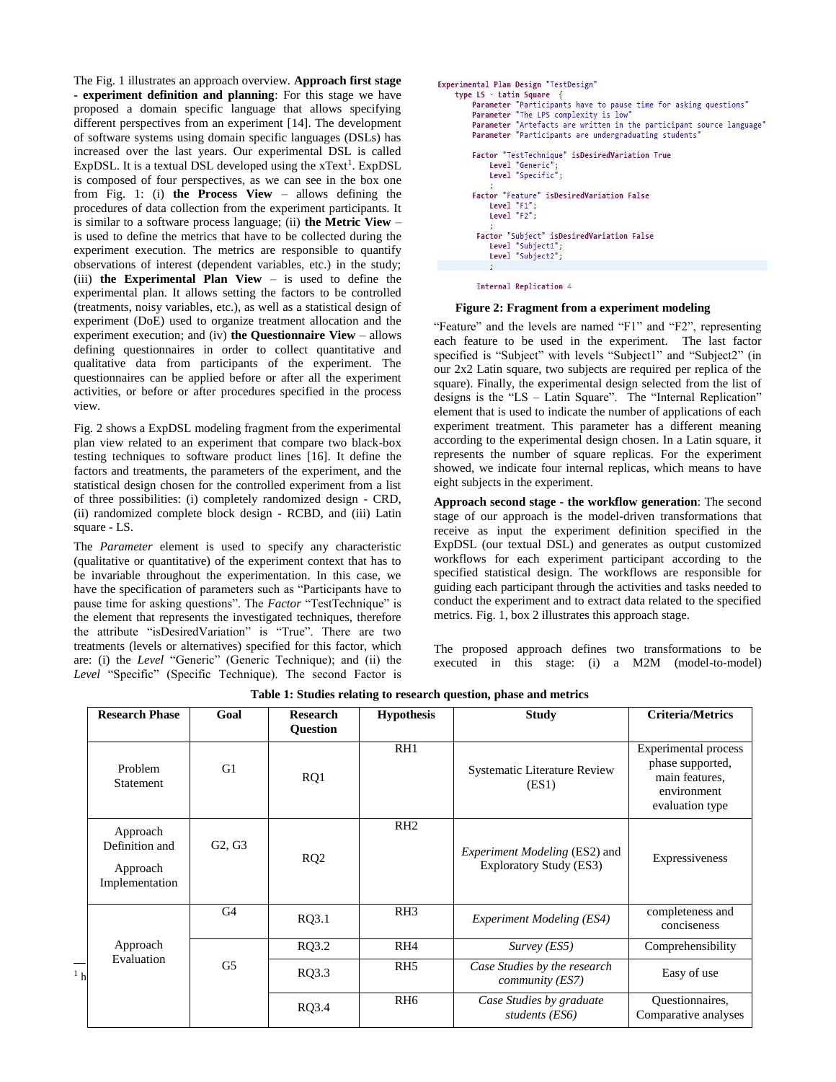The Fig. 1 illustrates an approach overview. **Approach first stage - experiment definition and planning**: For this stage we have proposed a domain specific language that allows specifying different perspectives from an experiment [14]. The development of software systems using domain specific languages (DSLs) has increased over the last years. Our experimental DSL is called ExpDSL. It is a textual DSL developed using the  $xText^1$ . ExpDSL is composed of four perspectives, as we can see in the box one from Fig. 1: (i) **the Process View** – allows defining the procedures of data collection from the experiment participants. It is similar to a software process language; (ii) **the Metric View** – is used to define the metrics that have to be collected during the experiment execution. The metrics are responsible to quantify observations of interest (dependent variables, etc.) in the study; (iii) **the Experimental Plan View** – is used to define the experimental plan. It allows setting the factors to be controlled (treatments, noisy variables, etc.), as well as a statistical design of experiment (DoE) used to organize treatment allocation and the experiment execution; and (iv) **the Questionnaire View** – allows defining questionnaires in order to collect quantitative and qualitative data from participants of the experiment. The questionnaires can be applied before or after all the experiment activities, or before or after procedures specified in the process view.

Fig. 2 shows a ExpDSL modeling fragment from the experimental plan view related to an experiment that compare two black-box testing techniques to software product lines [16]. It define the factors and treatments, the parameters of the experiment, and the statistical design chosen for the controlled experiment from a list of three possibilities: (i) completely randomized design - CRD, (ii) randomized complete block design - RCBD, and (iii) Latin square - LS.

The *Parameter* element is used to specify any characteristic (qualitative or quantitative) of the experiment context that has to be invariable throughout the experimentation. In this case, we have the specification of parameters such as "Participants have to pause time for asking questions". The *Factor* "TestTechnique" is the element that represents the investigated techniques, therefore the attribute "isDesiredVariation" is "True". There are two treatments (levels or alternatives) specified for this factor, which are: (i) the *Level* "Generic" (Generic Technique); and (ii) the *Level* "Specific" (Specific Technique). The second Factor is

```
Experimental Plan Design "TestDesign"
type LS - Latin Square- Lower Participants have to pause time for asking questions"<br>Parameter "Participants have to pause time for asking questions"
     Parameter "Artefacts are written in the participant source language"
     Parameter "Participants are undergraduating students"
     Factor "TestTechnique" isDesiredVariation True
          Level "Generic"
          Level "Specific";
     Factor "Feature" isDesiredVariation False
         Level "F1";<br>Level "F2";
      Factor "Subject" isDesiredVariation False
          Level "Subject1":
          Level "Subject2";
          \mathbf{r}
```
Internal Replication 4

#### **Figure 2: Fragment from a experiment modeling**

"Feature" and the levels are named "F1" and "F2", representing each feature to be used in the experiment. The last factor specified is "Subject" with levels "Subject1" and "Subject2" (in our 2x2 Latin square, two subjects are required per replica of the square). Finally, the experimental design selected from the list of designs is the "LS – Latin Square". The "Internal Replication" element that is used to indicate the number of applications of each experiment treatment. This parameter has a different meaning according to the experimental design chosen. In a Latin square, it represents the number of square replicas. For the experiment showed, we indicate four internal replicas, which means to have eight subjects in the experiment.

**Approach second stage - the workflow generation**: The second stage of our approach is the model-driven transformations that receive as input the experiment definition specified in the ExpDSL (our textual DSL) and generates as output customized workflows for each experiment participant according to the specified statistical design. The workflows are responsible for guiding each participant through the activities and tasks needed to conduct the experiment and to extract data related to the specified metrics. Fig. 1, box 2 illustrates this approach stage.

The proposed approach defines two transformations to be executed in this stage: (i) a M2M (model-to-model)

|                | <b>Research Phase</b>                                    | Goal                            | <b>Research</b><br><b>Question</b> | <b>Hypothesis</b> | <b>Study</b>                                                    | <b>Criteria/Metrics</b>                                                                             |
|----------------|----------------------------------------------------------|---------------------------------|------------------------------------|-------------------|-----------------------------------------------------------------|-----------------------------------------------------------------------------------------------------|
|                | Problem<br>Statement                                     | G1                              | RQ1                                | R <sub>H1</sub>   | <b>Systematic Literature Review</b><br>(ES1)                    | <b>Experimental process</b><br>phase supported,<br>main features.<br>environment<br>evaluation type |
|                | Approach<br>Definition and<br>Approach<br>Implementation | G <sub>2</sub> , G <sub>3</sub> | RQ <sub>2</sub>                    | RH2               | <i>Experiment Modeling (ES2)</i> and<br>Exploratory Study (ES3) | Expressiveness                                                                                      |
| 1 <sub>h</sub> | Approach<br>Evaluation                                   | G <sub>4</sub>                  | RQ3.1                              | RH3               | Experiment Modeling (ES4)                                       | completeness and<br>conciseness                                                                     |
|                |                                                          | G <sub>5</sub>                  | RQ3.2                              | RH <sub>4</sub>   | $Survey$ ( <i>ES5</i> )                                         | Comprehensibility                                                                                   |
|                |                                                          |                                 | RQ3.3                              | RH <sub>5</sub>   | Case Studies by the research<br>community (ES7)                 | Easy of use                                                                                         |
|                |                                                          |                                 | RQ3.4                              | RH <sub>6</sub>   | Case Studies by graduate<br>students (ES6)                      | Questionnaires,<br>Comparative analyses                                                             |

**Table 1: Studies relating to research question, phase and metrics**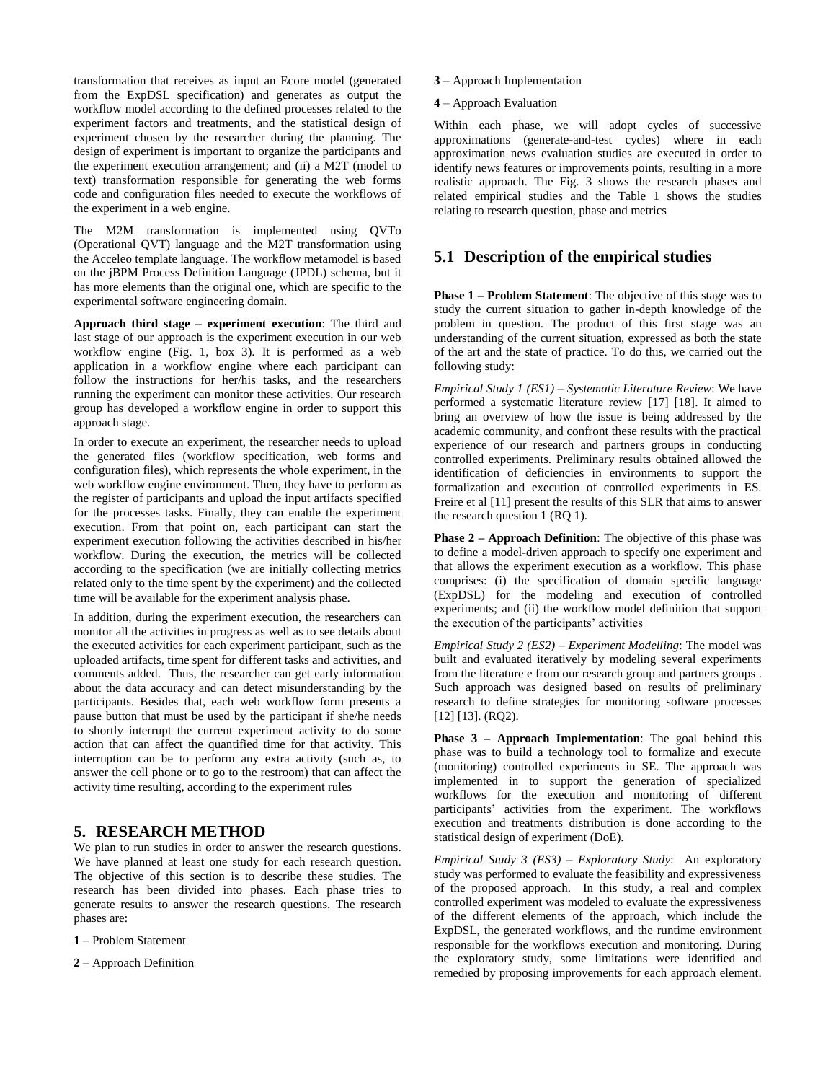transformation that receives as input an Ecore model (generated from the ExpDSL specification) and generates as output the workflow model according to the defined processes related to the experiment factors and treatments, and the statistical design of experiment chosen by the researcher during the planning. The design of experiment is important to organize the participants and the experiment execution arrangement; and (ii) a M2T (model to text) transformation responsible for generating the web forms code and configuration files needed to execute the workflows of the experiment in a web engine.

The M2M transformation is implemented using QVTo (Operational QVT) language and the M2T transformation using the Acceleo template language. The workflow metamodel is based on the jBPM Process Definition Language (JPDL) schema, but it has more elements than the original one, which are specific to the experimental software engineering domain.

**Approach third stage – experiment execution**: The third and last stage of our approach is the experiment execution in our web workflow engine (Fig. 1, box 3). It is performed as a web application in a workflow engine where each participant can follow the instructions for her/his tasks, and the researchers running the experiment can monitor these activities. Our research group has developed a workflow engine in order to support this approach stage.

In order to execute an experiment, the researcher needs to upload the generated files (workflow specification, web forms and configuration files), which represents the whole experiment, in the web workflow engine environment. Then, they have to perform as the register of participants and upload the input artifacts specified for the processes tasks. Finally, they can enable the experiment execution. From that point on, each participant can start the experiment execution following the activities described in his/her workflow. During the execution, the metrics will be collected according to the specification (we are initially collecting metrics related only to the time spent by the experiment) and the collected time will be available for the experiment analysis phase.

In addition, during the experiment execution, the researchers can monitor all the activities in progress as well as to see details about the executed activities for each experiment participant, such as the uploaded artifacts, time spent for different tasks and activities, and comments added. Thus, the researcher can get early information about the data accuracy and can detect misunderstanding by the participants. Besides that, each web workflow form presents a pause button that must be used by the participant if she/he needs to shortly interrupt the current experiment activity to do some action that can affect the quantified time for that activity. This interruption can be to perform any extra activity (such as, to answer the cell phone or to go to the restroom) that can affect the activity time resulting, according to the experiment rules

## **5. RESEARCH METHOD**

We plan to run studies in order to answer the research questions. We have planned at least one study for each research question. The objective of this section is to describe these studies. The research has been divided into phases. Each phase tries to generate results to answer the research questions. The research phases are:

- **1** Problem Statement
- **2** Approach Definition

**3** – Approach Implementation

#### **4** – Approach Evaluation

Within each phase, we will adopt cycles of successive approximations (generate-and-test cycles) where in each approximation news evaluation studies are executed in order to identify news features or improvements points, resulting in a more realistic approach. The Fig. 3 shows the research phases and related empirical studies and the Table 1 shows the studies relating to research question, phase and metrics

# **5.1 Description of the empirical studies**

**Phase 1 – Problem Statement**: The objective of this stage was to study the current situation to gather in-depth knowledge of the problem in question. The product of this first stage was an understanding of the current situation, expressed as both the state of the art and the state of practice. To do this, we carried out the following study:

*Empirical Study 1 (ES1) – Systematic Literature Review*: We have performed a systematic literature review [17] [18]. It aimed to bring an overview of how the issue is being addressed by the academic community, and confront these results with the practical experience of our research and partners groups in conducting controlled experiments. Preliminary results obtained allowed the identification of deficiencies in environments to support the formalization and execution of controlled experiments in ES. Freire et al [11] present the results of this SLR that aims to answer the research question 1 (RQ 1).

**Phase 2 – Approach Definition**: The objective of this phase was to define a model-driven approach to specify one experiment and that allows the experiment execution as a workflow. This phase comprises: (i) the specification of domain specific language (ExpDSL) for the modeling and execution of controlled experiments; and (ii) the workflow model definition that support the execution of the participants' activities

*Empirical Study 2 (ES2) – Experiment Modelling*: The model was built and evaluated iteratively by modeling several experiments from the literature e from our research group and partners groups . Such approach was designed based on results of preliminary research to define strategies for monitoring software processes [12] [13]. (RQ2).

**Phase 3 – Approach Implementation**: The goal behind this phase was to build a technology tool to formalize and execute (monitoring) controlled experiments in SE. The approach was implemented in to support the generation of specialized workflows for the execution and monitoring of different participants' activities from the experiment. The workflows execution and treatments distribution is done according to the statistical design of experiment (DoE).

*Empirical Study 3 (ES3) – Exploratory Study*: An exploratory study was performed to evaluate the feasibility and expressiveness of the proposed approach. In this study, a real and complex controlled experiment was modeled to evaluate the expressiveness of the different elements of the approach, which include the ExpDSL, the generated workflows, and the runtime environment responsible for the workflows execution and monitoring. During the exploratory study, some limitations were identified and remedied by proposing improvements for each approach element.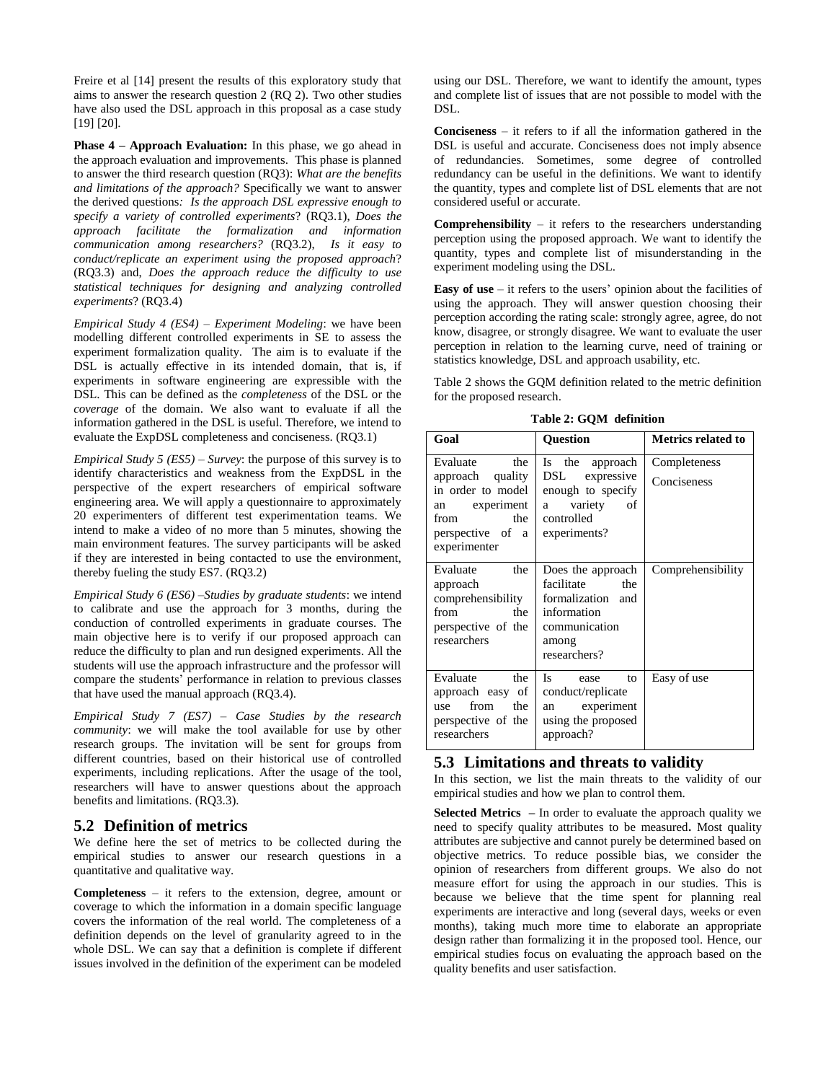Freire et al [14] present the results of this exploratory study that aims to answer the research question 2 (RQ 2). Two other studies have also used the DSL approach in this proposal as a case study [19] [20].

**Phase 4 – Approach Evaluation:** In this phase, we go ahead in the approach evaluation and improvements. This phase is planned to answer the third research question (RQ3): *What are the benefits and limitations of the approach?* Specifically we want to answer the derived questions*: Is the approach DSL expressive enough to specify a variety of controlled experiments*? (RQ3.1), *Does the approach facilitate the formalization and information communication among researchers?* (RQ3.2), *Is it easy to conduct/replicate an experiment using the proposed approach*? (RQ3.3) and, *Does the approach reduce the difficulty to use statistical techniques for designing and analyzing controlled experiments*? (RQ3.4)

*Empirical Study 4 (ES4) – Experiment Modeling*: we have been modelling different controlled experiments in SE to assess the experiment formalization quality. The aim is to evaluate if the DSL is actually effective in its intended domain, that is, if experiments in software engineering are expressible with the DSL. This can be defined as the *completeness* of the DSL or the *coverage* of the domain. We also want to evaluate if all the information gathered in the DSL is useful. Therefore, we intend to evaluate the ExpDSL completeness and conciseness. (RQ3.1)

*Empirical Study 5 (ES5) – Survey*: the purpose of this survey is to identify characteristics and weakness from the ExpDSL in the perspective of the expert researchers of empirical software engineering area. We will apply a questionnaire to approximately 20 experimenters of different test experimentation teams. We intend to make a video of no more than 5 minutes, showing the main environment features. The survey participants will be asked if they are interested in being contacted to use the environment, thereby fueling the study ES7. (RQ3.2)

*Empirical Study 6 (ES6) –Studies by graduate students*: we intend to calibrate and use the approach for 3 months, during the conduction of controlled experiments in graduate courses. The main objective here is to verify if our proposed approach can reduce the difficulty to plan and run designed experiments. All the students will use the approach infrastructure and the professor will compare the students' performance in relation to previous classes that have used the manual approach (RQ3.4).

*Empirical Study 7 (ES7) – Case Studies by the research community*: we will make the tool available for use by other research groups. The invitation will be sent for groups from different countries, based on their historical use of controlled experiments, including replications. After the usage of the tool, researchers will have to answer questions about the approach benefits and limitations. (RQ3.3).

## **5.2 Definition of metrics**

We define here the set of metrics to be collected during the empirical studies to answer our research questions in a quantitative and qualitative way.

**Completeness** – it refers to the extension, degree, amount or coverage to which the information in a domain specific language covers the information of the real world. The completeness of a definition depends on the level of granularity agreed to in the whole DSL. We can say that a definition is complete if different issues involved in the definition of the experiment can be modeled

using our DSL. Therefore, we want to identify the amount, types and complete list of issues that are not possible to model with the DSL.

**Conciseness** – it refers to if all the information gathered in the DSL is useful and accurate. Conciseness does not imply absence of redundancies. Sometimes, some degree of controlled redundancy can be useful in the definitions. We want to identify the quantity, types and complete list of DSL elements that are not considered useful or accurate.

**Comprehensibility** – it refers to the researchers understanding perception using the proposed approach. We want to identify the quantity, types and complete list of misunderstanding in the experiment modeling using the DSL.

**Easy of use** – it refers to the users' opinion about the facilities of using the approach. They will answer question choosing their perception according th[e rating](https://en.wikipedia.org/wiki/Rating_scale) scale: strongly agree, agree, do not know, disagree, or strongly disagree. We want to evaluate the user perception in relation to the learning curve, need of training or statistics knowledge, DSL and approach usability, etc.

Table 2 shows the GQM definition related to the metric definition for the proposed research.

**Table 2: GQM definition**

| Goal                                                                                                                         | <b>Ouestion</b>                                                                                                      | <b>Metrics related to</b>   |  |  |  |  |  |  |  |
|------------------------------------------------------------------------------------------------------------------------------|----------------------------------------------------------------------------------------------------------------------|-----------------------------|--|--|--|--|--|--|--|
| Evaluate<br>the<br>approach quality<br>in order to model<br>an experiment<br>the<br>from<br>perspective of a<br>experimenter | Is the<br>approach<br>expressive<br>DSL.<br>enough to specify<br>variety<br>of<br>a<br>controlled<br>experiments?    | Completeness<br>Conciseness |  |  |  |  |  |  |  |
| Evaluate<br>the<br>approach<br>comprehensibility<br>from<br>the<br>perspective of the<br>researchers                         | Does the approach<br>facilitate<br>the<br>formalization and<br>information<br>communication<br>among<br>researchers? | Comprehensibility           |  |  |  |  |  |  |  |
| Evaluate<br>the<br>approach easy of<br>from<br>the<br>use<br>perspective of the<br>researchers                               | Is<br>to<br>ease<br>conduct/replicate<br>experiment<br>an<br>using the proposed<br>approach?                         | Easy of use                 |  |  |  |  |  |  |  |

#### **5.3 Limitations and threats to validity**

In this section, we list the main threats to the validity of our empirical studies and how we plan to control them.

**Selected Metrics –** In order to evaluate the approach quality we need to specify quality attributes to be measured**.** Most quality attributes are subjective and cannot purely be determined based on objective metrics. To reduce possible bias, we consider the opinion of researchers from different groups. We also do not measure effort for using the approach in our studies. This is because we believe that the time spent for planning real experiments are interactive and long (several days, weeks or even months), taking much more time to elaborate an appropriate design rather than formalizing it in the proposed tool. Hence, our empirical studies focus on evaluating the approach based on the quality benefits and user satisfaction.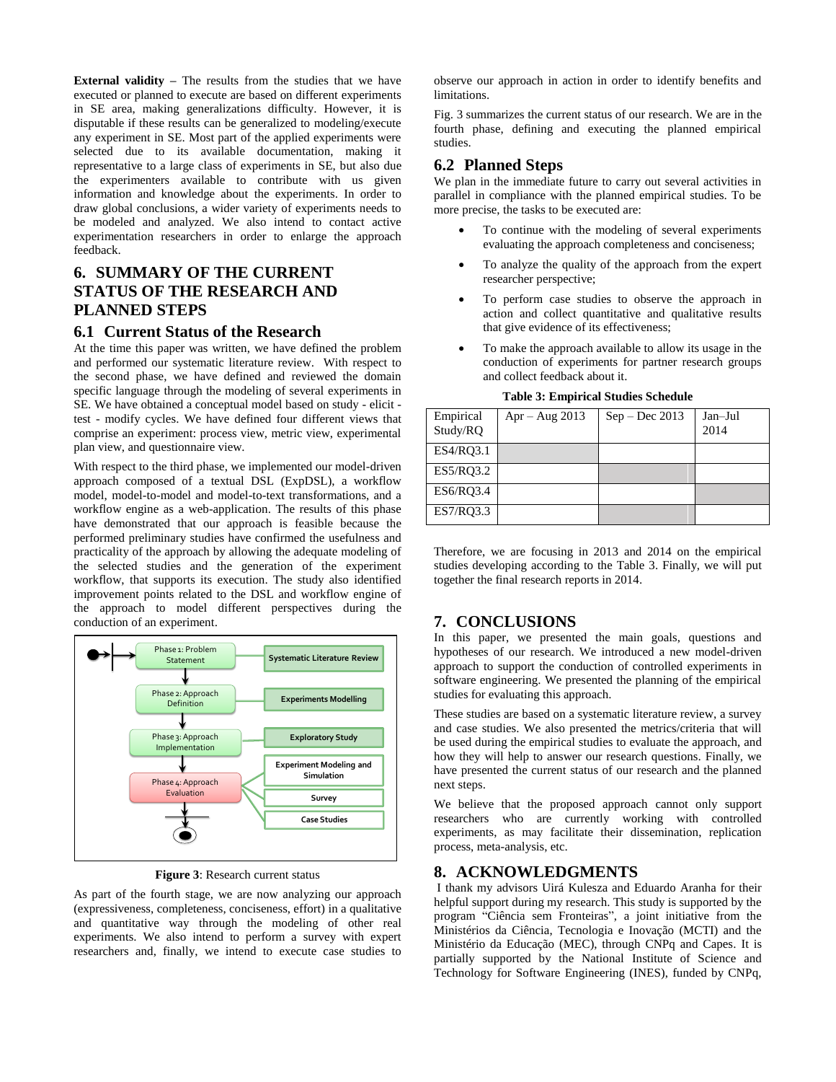**External validity –** The results from the studies that we have executed or planned to execute are based on different experiments in SE area, making generalizations difficulty. However, it is disputable if these results can be generalized to modeling/execute any experiment in SE. Most part of the applied experiments were selected due to its available documentation, making it representative to a large class of experiments in SE, but also due the experimenters available to contribute with us given information and knowledge about the experiments. In order to draw global conclusions, a wider variety of experiments needs to be modeled and analyzed. We also intend to contact active experimentation researchers in order to enlarge the approach feedback.

# **6. SUMMARY OF THE CURRENT STATUS OF THE RESEARCH AND PLANNED STEPS**

## **6.1 Current Status of the Research**

At the time this paper was written, we have defined the problem and performed our systematic literature review. With respect to the second phase, we have defined and reviewed the domain specific language through the modeling of several experiments in SE. We have obtained a conceptual model based on study - elicit test - modify cycles. We have defined four different views that comprise an experiment: process view, metric view, experimental plan view, and questionnaire view.

With respect to the third phase, we implemented our model-driven approach composed of a textual DSL (ExpDSL), a workflow model, model-to-model and model-to-text transformations, and a workflow engine as a web-application. The results of this phase have demonstrated that our approach is feasible because the performed preliminary studies have confirmed the usefulness and practicality of the approach by allowing the adequate modeling of the selected studies and the generation of the experiment workflow, that supports its execution. The study also identified improvement points related to the DSL and workflow engine of the approach to model different perspectives during the conduction of an experiment.



**Figure 3**: Research current status

As part of the fourth stage, we are now analyzing our approach (expressiveness, completeness, conciseness, effort) in a qualitative and quantitative way through the modeling of other real experiments. We also intend to perform a survey with expert researchers and, finally, we intend to execute case studies to observe our approach in action in order to identify benefits and limitations.

Fig. 3 summarizes the current status of our research. We are in the fourth phase, defining and executing the planned empirical studies.

# **6.2 Planned Steps**

We plan in the immediate future to carry out several activities in parallel in compliance with the planned empirical studies. To be more precise, the tasks to be executed are:

- To continue with the modeling of several experiments evaluating the approach completeness and conciseness;
- To analyze the quality of the approach from the expert researcher perspective;
- To perform case studies to observe the approach in action and collect quantitative and qualitative results that give evidence of its effectiveness;
- To make the approach available to allow its usage in the conduction of experiments for partner research groups and collect feedback about it.

| Empirical<br>Study/RQ | $Apr - Aug 2013$ | $Sep - Dec 2013$ | Jan-Jul<br>2014 |
|-----------------------|------------------|------------------|-----------------|
| ES4/RQ3.1             |                  |                  |                 |
| ES5/RQ3.2             |                  |                  |                 |
| ES6/RQ3.4             |                  |                  |                 |
| ES7/RQ3.3             |                  |                  |                 |

**Table 3: Empirical Studies Schedule**

Therefore, we are focusing in 2013 and 2014 on the empirical studies developing according to the Table 3. Finally, we will put together the final research reports in 2014.

## **7. CONCLUSIONS**

In this paper, we presented the main goals, questions and hypotheses of our research. We introduced a new model-driven approach to support the conduction of controlled experiments in software engineering. We presented the planning of the empirical studies for evaluating this approach.

These studies are based on a systematic literature review, a survey and case studies. We also presented the metrics/criteria that will be used during the empirical studies to evaluate the approach, and how they will help to answer our research questions. Finally, we have presented the current status of our research and the planned next steps.

We believe that the proposed approach cannot only support researchers who are currently working with controlled experiments, as may facilitate their dissemination, replication process, meta-analysis, etc.

## **8. ACKNOWLEDGMENTS**

I thank my advisors Uirá Kulesza and Eduardo Aranha for their helpful support during my research. This study is supported by the program "Ciência sem Fronteiras", a joint initiative from the Ministérios da Ciência, Tecnologia e Inovação (MCTI) and the Ministério da Educação (MEC), through CNPq and Capes. It is partially supported by the National Institute of Science and Technology for Software Engineering (INES), funded by CNPq,